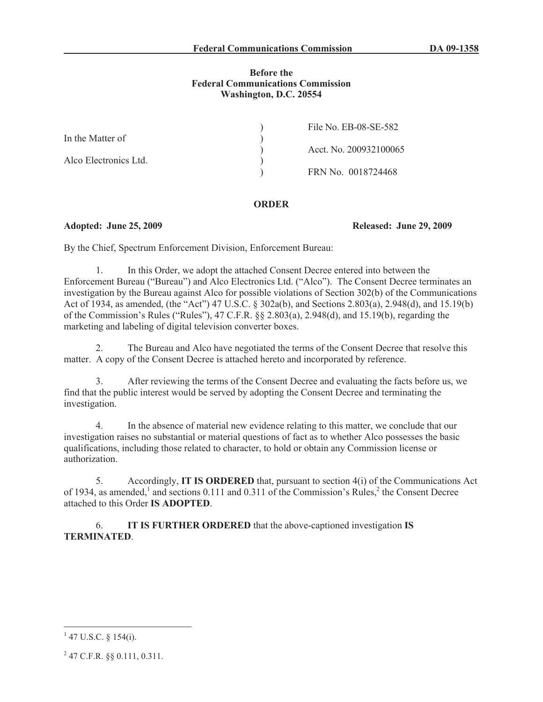## **Before the Federal Communications Commission Washington, D.C. 20554**

|                       | File No. EB-08-SE-582  |
|-----------------------|------------------------|
| In the Matter of      |                        |
|                       | Acct. No. 200932100065 |
| Alco Electronics Ltd. |                        |
|                       | FRN No. 0018724468     |

## **ORDER**

## **Adopted: June 25, 2009 Released: June 29, 2009**

By the Chief, Spectrum Enforcement Division, Enforcement Bureau:

1. In this Order, we adopt the attached Consent Decree entered into between the Enforcement Bureau ("Bureau") and Alco Electronics Ltd. ("Alco"). The Consent Decree terminates an investigation by the Bureau against Alco for possible violations of Section 302(b) of the Communications Act of 1934, as amended, (the "Act") 47 U.S.C. § 302a(b), and Sections 2.803(a), 2.948(d), and 15.19(b) of the Commission's Rules ("Rules"), 47 C.F.R. §§ 2.803(a), 2.948(d), and 15.19(b), regarding the marketing and labeling of digital television converter boxes.

2. The Bureau and Alco have negotiated the terms of the Consent Decree that resolve this matter. A copy of the Consent Decree is attached hereto and incorporated by reference.

3. After reviewing the terms of the Consent Decree and evaluating the facts before us, we find that the public interest would be served by adopting the Consent Decree and terminating the investigation.

4. In the absence of material new evidence relating to this matter, we conclude that our investigation raises no substantial or material questions of fact as to whether Alco possesses the basic qualifications, including those related to character, to hold or obtain any Commission license or authorization.

5. Accordingly, **IT IS ORDERED** that, pursuant to section 4(i) of the Communications Act of 1934, as amended,<sup>1</sup> and sections 0.111 and 0.311 of the Commission's Rules,<sup>2</sup> the Consent Decree attached to this Order **IS ADOPTED**.

6. **IT IS FURTHER ORDERED** that the above-captioned investigation **IS TERMINATED**.

 $1$  47 U.S.C. § 154(i).

 $^{2}$  47 C.F.R. §§ 0.111, 0.311.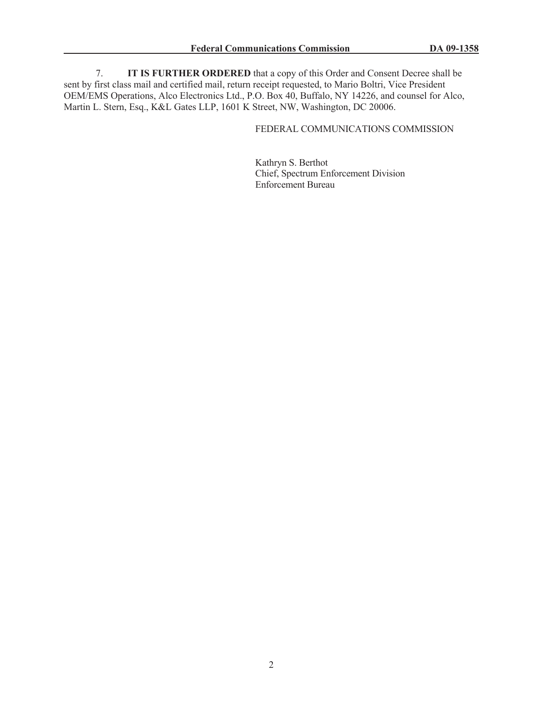7. **IT IS FURTHER ORDERED** that a copy of this Order and Consent Decree shall be sent by first class mail and certified mail, return receipt requested, to Mario Boltri, Vice President OEM/EMS Operations, Alco Electronics Ltd., P.O. Box 40, Buffalo, NY 14226, and counsel for Alco, Martin L. Stern, Esq., K&L Gates LLP, 1601 K Street, NW, Washington, DC 20006.

# FEDERAL COMMUNICATIONS COMMISSION

Kathryn S. Berthot Chief, Spectrum Enforcement Division Enforcement Bureau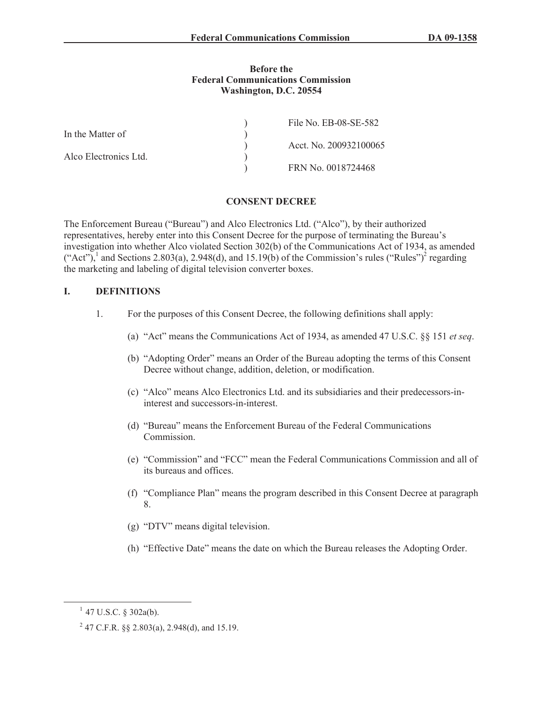#### **Before the Federal Communications Commission Washington, D.C. 20554**

|                       | File No. EB-08-SE-582  |
|-----------------------|------------------------|
| In the Matter of      |                        |
|                       | Acct. No. 200932100065 |
| Alco Electronics Ltd. |                        |
|                       | FRN No. 0018724468     |

## **CONSENT DECREE**

The Enforcement Bureau ("Bureau") and Alco Electronics Ltd. ("Alco"), by their authorized representatives, hereby enter into this Consent Decree for the purpose of terminating the Bureau's investigation into whether Alco violated Section 302(b) of the Communications Act of 1934, as amended  $("Act")$ , and Sections 2.803(a), 2.948(d), and 15.19(b) of the Commission's rules  $("Rules")^2$  regarding the marketing and labeling of digital television converter boxes.

## **I. DEFINITIONS**

- 1. For the purposes of this Consent Decree, the following definitions shall apply:
	- (a) "Act" means the Communications Act of 1934, as amended 47 U.S.C. §§ 151 *et seq*.
	- (b) "Adopting Order" means an Order of the Bureau adopting the terms of this Consent Decree without change, addition, deletion, or modification.
	- (c) "Alco" means Alco Electronics Ltd. and its subsidiaries and their predecessors-ininterest and successors-in-interest.
	- (d) "Bureau" means the Enforcement Bureau of the Federal Communications Commission.
	- (e) "Commission" and "FCC" mean the Federal Communications Commission and all of its bureaus and offices.
	- (f) "Compliance Plan" means the program described in this Consent Decree at paragraph 8.
	- (g) "DTV" means digital television.
	- (h) "Effective Date" means the date on which the Bureau releases the Adopting Order.

 $1$  47 U.S.C. § 302a(b).

<sup>&</sup>lt;sup>2</sup> 47 C.F.R. §§ 2.803(a), 2.948(d), and 15.19.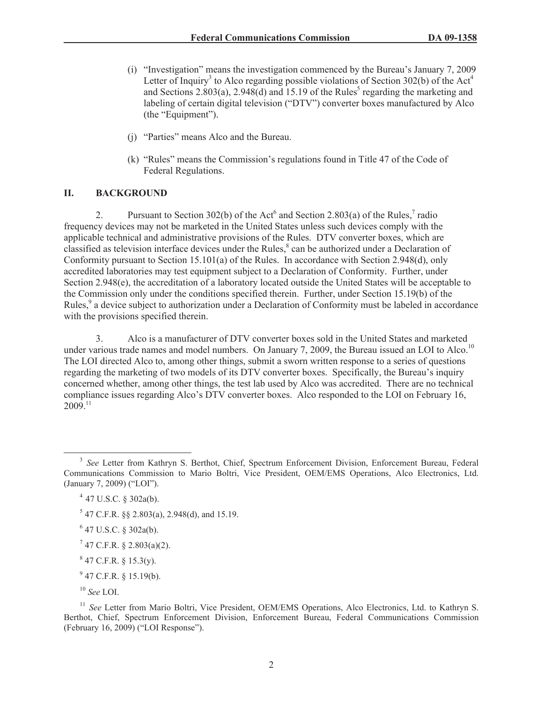- (i) "Investigation" means the investigation commenced by the Bureau's January 7, 2009 Letter of Inquiry<sup>3</sup> to Alco regarding possible violations of Section 302(b) of the Act<sup>4</sup> and Sections  $2.803(a)$ ,  $2.948(d)$  and  $15.19$  of the Rules<sup>5</sup> regarding the marketing and labeling of certain digital television ("DTV") converter boxes manufactured by Alco (the "Equipment").
- (j) "Parties" means Alco and the Bureau.
- (k) "Rules" means the Commission's regulations found in Title 47 of the Code of Federal Regulations.

# **II. BACKGROUND**

2. Pursuant to Section 302(b) of the Act<sup>6</sup> and Section 2.803(a) of the Rules,<sup>7</sup> radio frequency devices may not be marketed in the United States unless such devices comply with the applicable technical and administrative provisions of the Rules. DTV converter boxes, which are classified as television interface devices under the Rules,<sup>8</sup> can be authorized under a Declaration of Conformity pursuant to Section 15.101(a) of the Rules. In accordance with Section 2.948(d), only accredited laboratories may test equipment subject to a Declaration of Conformity. Further, under Section 2.948(e), the accreditation of a laboratory located outside the United States will be acceptable to the Commission only under the conditions specified therein. Further, under Section 15.19(b) of the Rules,<sup>9</sup> a device subject to authorization under a Declaration of Conformity must be labeled in accordance with the provisions specified therein.

3. Alco is a manufacturer of DTV converter boxes sold in the United States and marketed under various trade names and model numbers. On January 7, 2009, the Bureau issued an LOI to Alco.<sup>10</sup> The LOI directed Alco to, among other things, submit a sworn written response to a series of questions regarding the marketing of two models of its DTV converter boxes. Specifically, the Bureau's inquiry concerned whether, among other things, the test lab used by Alco was accredited. There are no technical compliance issues regarding Alco's DTV converter boxes. Alco responded to the LOI on February 16,  $2009^{11}$ 

 $5$  47 C.F.R. §§ 2.803(a), 2.948(d), and 15.19.

<sup>&</sup>lt;sup>3</sup> See Letter from Kathryn S. Berthot, Chief, Spectrum Enforcement Division, Enforcement Bureau, Federal Communications Commission to Mario Boltri, Vice President, OEM/EMS Operations, Alco Electronics, Ltd. (January 7, 2009) ("LOI").

 $4$  47 U.S.C. § 302a(b).

 $6$  47 U.S.C. § 302a(b).

 $7$  47 C.F.R. § 2.803(a)(2).

 $847$  C.F.R. § 15.3(y).

 $^{9}$  47 C.F.R. § 15.19(b).

<sup>10</sup> *See* LOI.

<sup>&</sup>lt;sup>11</sup> *See* Letter from Mario Boltri, Vice President, OEM/EMS Operations, Alco Electronics, Ltd. to Kathryn S. Berthot, Chief, Spectrum Enforcement Division, Enforcement Bureau, Federal Communications Commission (February 16, 2009) ("LOI Response").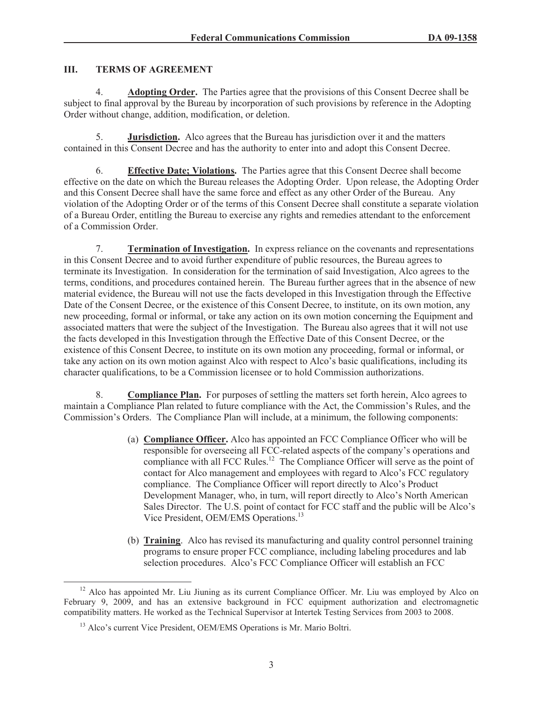# **III. TERMS OF AGREEMENT**

4. **Adopting Order.** The Parties agree that the provisions of this Consent Decree shall be subject to final approval by the Bureau by incorporation of such provisions by reference in the Adopting Order without change, addition, modification, or deletion.

5. **Jurisdiction.** Alco agrees that the Bureau has jurisdiction over it and the matters contained in this Consent Decree and has the authority to enter into and adopt this Consent Decree.

6. **Effective Date; Violations.** The Parties agree that this Consent Decree shall become effective on the date on which the Bureau releases the Adopting Order. Upon release, the Adopting Order and this Consent Decree shall have the same force and effect as any other Order of the Bureau. Any violation of the Adopting Order or of the terms of this Consent Decree shall constitute a separate violation of a Bureau Order, entitling the Bureau to exercise any rights and remedies attendant to the enforcement of a Commission Order.

7. **Termination of Investigation.** In express reliance on the covenants and representations in this Consent Decree and to avoid further expenditure of public resources, the Bureau agrees to terminate its Investigation. In consideration for the termination of said Investigation, Alco agrees to the terms, conditions, and procedures contained herein. The Bureau further agrees that in the absence of new material evidence, the Bureau will not use the facts developed in this Investigation through the Effective Date of the Consent Decree, or the existence of this Consent Decree, to institute, on its own motion, any new proceeding, formal or informal, or take any action on its own motion concerning the Equipment and associated matters that were the subject of the Investigation. The Bureau also agrees that it will not use the facts developed in this Investigation through the Effective Date of this Consent Decree, or the existence of this Consent Decree, to institute on its own motion any proceeding, formal or informal, or take any action on its own motion against Alco with respect to Alco's basic qualifications, including its character qualifications, to be a Commission licensee or to hold Commission authorizations.

8. **Compliance Plan.** For purposes of settling the matters set forth herein, Alco agrees to maintain a Compliance Plan related to future compliance with the Act, the Commission's Rules, and the Commission's Orders. The Compliance Plan will include, at a minimum, the following components:

- (a) **Compliance Officer.** Alco has appointed an FCC Compliance Officer who will be responsible for overseeing all FCC-related aspects of the company's operations and compliance with all FCC Rules.<sup>12</sup> The Compliance Officer will serve as the point of contact for Alco management and employees with regard to Alco's FCC regulatory compliance. The Compliance Officer will report directly to Alco's Product Development Manager, who, in turn, will report directly to Alco's North American Sales Director. The U.S. point of contact for FCC staff and the public will be Alco's Vice President, OEM/EMS Operations.<sup>13</sup>
- (b) **Training**. Alco has revised its manufacturing and quality control personnel training programs to ensure proper FCC compliance, including labeling procedures and lab selection procedures. Alco's FCC Compliance Officer will establish an FCC

<sup>&</sup>lt;sup>12</sup> Alco has appointed Mr. Liu Jiuning as its current Compliance Officer. Mr. Liu was employed by Alco on February 9, 2009, and has an extensive background in FCC equipment authorization and electromagnetic compatibility matters. He worked as the Technical Supervisor at Intertek Testing Services from 2003 to 2008.

<sup>&</sup>lt;sup>13</sup> Alco's current Vice President, OEM/EMS Operations is Mr. Mario Boltri.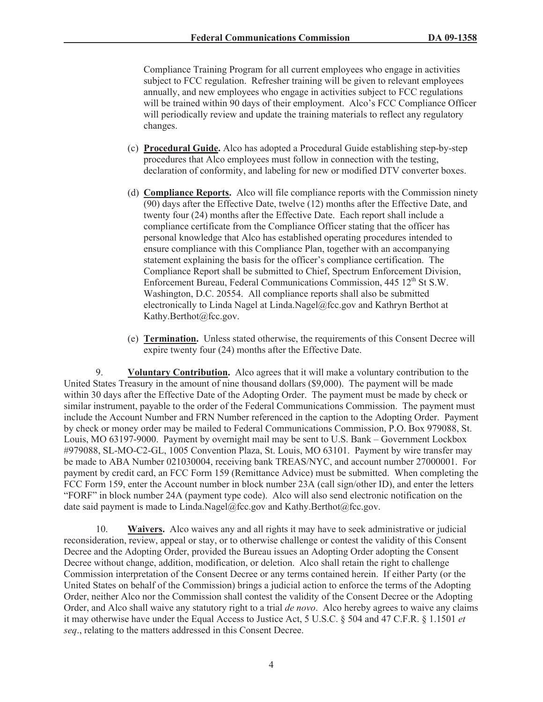Compliance Training Program for all current employees who engage in activities subject to FCC regulation. Refresher training will be given to relevant employees annually, and new employees who engage in activities subject to FCC regulations will be trained within 90 days of their employment. Alco's FCC Compliance Officer will periodically review and update the training materials to reflect any regulatory changes.

- (c) **Procedural Guide.** Alco has adopted a Procedural Guide establishing step-by-step procedures that Alco employees must follow in connection with the testing, declaration of conformity, and labeling for new or modified DTV converter boxes.
- (d) **Compliance Reports.** Alco will file compliance reports with the Commission ninety (90) days after the Effective Date, twelve (12) months after the Effective Date, and twenty four (24) months after the Effective Date. Each report shall include a compliance certificate from the Compliance Officer stating that the officer has personal knowledge that Alco has established operating procedures intended to ensure compliance with this Compliance Plan, together with an accompanying statement explaining the basis for the officer's compliance certification. The Compliance Report shall be submitted to Chief, Spectrum Enforcement Division, Enforcement Bureau, Federal Communications Commission, 445 12<sup>th</sup> St S.W. Washington, D.C. 20554. All compliance reports shall also be submitted electronically to Linda Nagel at Linda.Nagel@fcc.gov and Kathryn Berthot at Kathy.Berthot@fcc.gov.
- (e) **Termination.** Unless stated otherwise, the requirements of this Consent Decree will expire twenty four (24) months after the Effective Date.

9. **Voluntary Contribution.** Alco agrees that it will make a voluntary contribution to the United States Treasury in the amount of nine thousand dollars (\$9,000). The payment will be made within 30 days after the Effective Date of the Adopting Order. The payment must be made by check or similar instrument, payable to the order of the Federal Communications Commission. The payment must include the Account Number and FRN Number referenced in the caption to the Adopting Order. Payment by check or money order may be mailed to Federal Communications Commission, P.O. Box 979088, St. Louis, MO 63197-9000. Payment by overnight mail may be sent to U.S. Bank – Government Lockbox #979088, SL-MO-C2-GL, 1005 Convention Plaza, St. Louis, MO 63101. Payment by wire transfer may be made to ABA Number 021030004, receiving bank TREAS/NYC, and account number 27000001. For payment by credit card, an FCC Form 159 (Remittance Advice) must be submitted. When completing the FCC Form 159, enter the Account number in block number 23A (call sign/other ID), and enter the letters "FORF" in block number 24A (payment type code). Alco will also send electronic notification on the date said payment is made to Linda.Nagel@fcc.gov and Kathy.Berthot@fcc.gov.

10. **Waivers.** Alco waives any and all rights it may have to seek administrative or judicial reconsideration, review, appeal or stay, or to otherwise challenge or contest the validity of this Consent Decree and the Adopting Order, provided the Bureau issues an Adopting Order adopting the Consent Decree without change, addition, modification, or deletion. Alco shall retain the right to challenge Commission interpretation of the Consent Decree or any terms contained herein. If either Party (or the United States on behalf of the Commission) brings a judicial action to enforce the terms of the Adopting Order, neither Alco nor the Commission shall contest the validity of the Consent Decree or the Adopting Order, and Alco shall waive any statutory right to a trial *de novo*. Alco hereby agrees to waive any claims it may otherwise have under the Equal Access to Justice Act, 5 U.S.C. § 504 and 47 C.F.R. § 1.1501 *et seq*., relating to the matters addressed in this Consent Decree.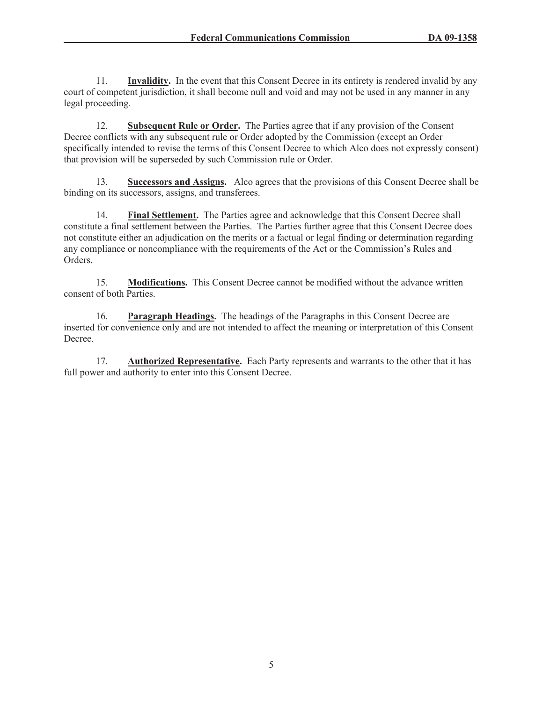11. **Invalidity.** In the event that this Consent Decree in its entirety is rendered invalid by any court of competent jurisdiction, it shall become null and void and may not be used in any manner in any legal proceeding.

12. **Subsequent Rule or Order.** The Parties agree that if any provision of the Consent Decree conflicts with any subsequent rule or Order adopted by the Commission (except an Order specifically intended to revise the terms of this Consent Decree to which Alco does not expressly consent) that provision will be superseded by such Commission rule or Order.

13. **Successors and Assigns.** Alco agrees that the provisions of this Consent Decree shall be binding on its successors, assigns, and transferees.

14. **Final Settlement.** The Parties agree and acknowledge that this Consent Decree shall constitute a final settlement between the Parties. The Parties further agree that this Consent Decree does not constitute either an adjudication on the merits or a factual or legal finding or determination regarding any compliance or noncompliance with the requirements of the Act or the Commission's Rules and Orders.

15. **Modifications.** This Consent Decree cannot be modified without the advance written consent of both Parties.

16. **Paragraph Headings.** The headings of the Paragraphs in this Consent Decree are inserted for convenience only and are not intended to affect the meaning or interpretation of this Consent Decree.

17. **Authorized Representative.** Each Party represents and warrants to the other that it has full power and authority to enter into this Consent Decree.